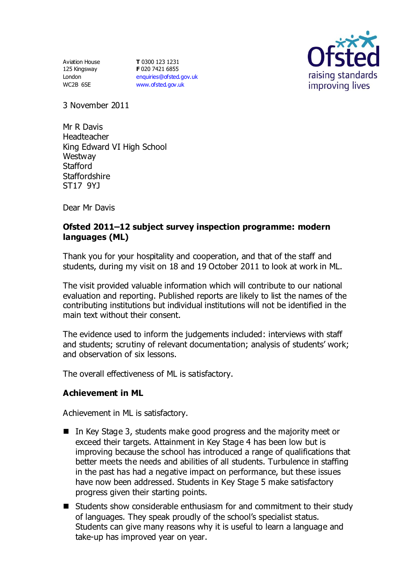Aviation House 125 Kingsway London WC2B 6SE

**T** 0300 123 1231 **F** 020 7421 6855 [enquiries@ofsted.gov.uk](mailto:enquiries@ofsted.gov.uk) [www.ofsted.gov.uk](http://www.ofsted.gov.uk/)



3 November 2011

Mr R Davis Headteacher King Edward VI High School **Westway Stafford Staffordshire** ST17 9YJ

Dear Mr Davis

# **Ofsted 2011–12 subject survey inspection programme: modern languages (ML)**

Thank you for your hospitality and cooperation, and that of the staff and students, during my visit on 18 and 19 October 2011 to look at work in ML.

The visit provided valuable information which will contribute to our national evaluation and reporting. Published reports are likely to list the names of the contributing institutions but individual institutions will not be identified in the main text without their consent.

The evidence used to inform the judgements included: interviews with staff and students; scrutiny of relevant documentation; analysis of students' work; and observation of six lessons.

The overall effectiveness of ML is satisfactory.

### **Achievement in ML**

Achievement in ML is satisfactory.

- In Key Stage 3, students make good progress and the majority meet or exceed their targets. Attainment in Key Stage 4 has been low but is improving because the school has introduced a range of qualifications that better meets the needs and abilities of all students. Turbulence in staffing in the past has had a negative impact on performance, but these issues have now been addressed. Students in Key Stage 5 make satisfactory progress given their starting points.
- Students show considerable enthusiasm for and commitment to their study of languages. They speak proudly of the school's specialist status. Students can give many reasons why it is useful to learn a language and take-up has improved year on year.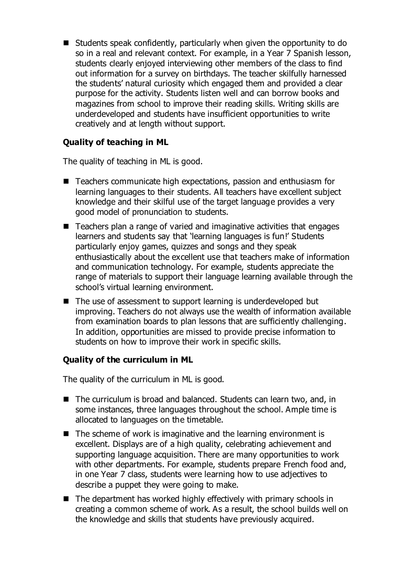Students speak confidently, particularly when given the opportunity to do so in a real and relevant context. For example, in a Year 7 Spanish lesson, students clearly enjoyed interviewing other members of the class to find out information for a survey on birthdays. The teacher skilfully harnessed the students' natural curiosity which engaged them and provided a clear purpose for the activity. Students listen well and can borrow books and magazines from school to improve their reading skills. Writing skills are underdeveloped and students have insufficient opportunities to write creatively and at length without support.

# **Quality of teaching in ML**

The quality of teaching in ML is good.

- Teachers communicate high expectations, passion and enthusiasm for learning languages to their students. All teachers have excellent subject knowledge and their skilful use of the target language provides a very good model of pronunciation to students.
- Teachers plan a range of varied and imaginative activities that engages learners and students say that 'learning languages is fun!' Students particularly enjoy games, quizzes and songs and they speak enthusiastically about the excellent use that teachers make of information and communication technology. For example, students appreciate the range of materials to support their language learning available through the school's virtual learning environment.
- The use of assessment to support learning is underdeveloped but improving. Teachers do not always use the wealth of information available from examination boards to plan lessons that are sufficiently challenging. In addition, opportunities are missed to provide precise information to students on how to improve their work in specific skills.

### **Quality of the curriculum in ML**

The quality of the curriculum in ML is good.

- The curriculum is broad and balanced. Students can learn two, and, in some instances, three languages throughout the school. Ample time is allocated to languages on the timetable.
- $\blacksquare$  The scheme of work is imaginative and the learning environment is excellent. Displays are of a high quality, celebrating achievement and supporting language acquisition. There are many opportunities to work with other departments. For example, students prepare French food and, in one Year 7 class, students were learning how to use adjectives to describe a puppet they were going to make.
- $\blacksquare$  The department has worked highly effectively with primary schools in creating a common scheme of work. As a result, the school builds well on the knowledge and skills that students have previously acquired.